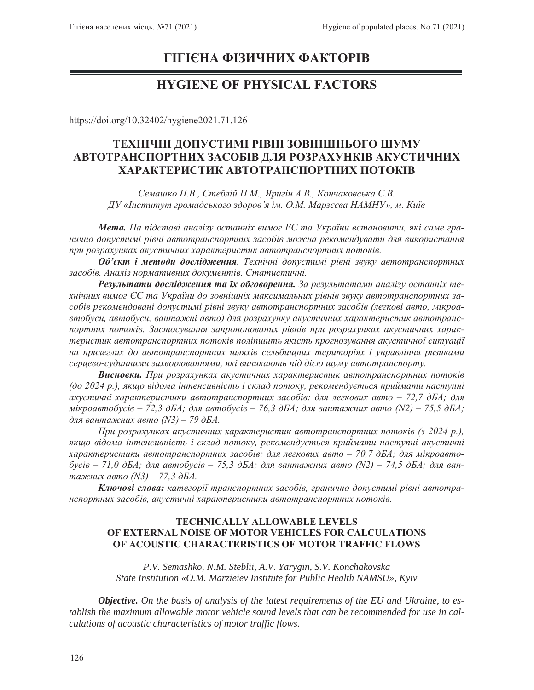# ГІГІЄНА ФІЗИЧНИХ ФАКТОРІВ

## **HYGIENE OF PHYSICAL FACTORS**

https://doi.org/10.32402/hygiene2021.71.126

### ТЕХНІЧНІ ДОПУСТИМІ РІВНІ ЗОВНІШНЬОГО ШУМУ АВТОТРАНСПОРТНИХ ЗАСОБІВ ДЛЯ РОЗРАХУНКІВ АКУСТИЧНИХ **ХАРАКТЕРИСТИК АВТОТРАНСПОРТНИХ ПОТОКІВ**

Семашко П.В., Стеблій Н.М., Яригін А.В., Кончаковська С.В. *Ⱦɍ©ȱɧɫɬɢɬɭɬɝɪɨɦɚɞɫɶɤɨɝɨɡɞɨɪɨɜ¶ɹɿɦɈɆɆɚɪɡɽɽɜɚɇȺɆɇɍªɦɄɢʀɜ*

**Мета.** На підставі аналізу останніх вимог ЕС та України встановити, які саме гранично допустимі рівні автотранспортних засобів можна рекомендувати для використання при розрахунках акустичних характеристик автотранспортних потоків.

Об'єкт і методи дослідження. Технічні допустимі рівні звуку автотранспортних засобів. Аналіз нормативних документів. Статистичні.

**Результати дослідження та їх обговорення.** За результатами аналізу останніх те*хнічних вимог* ЄС та України до зовнішніх максимальних рівнів звуку автотранспортних засобів рекомендовані допустимі рівні звуку автотранспортних засобів (легкові авто, мікроавтобуси, автобуси, вантажні авто) для розрахунку акустичних характеристик автотранспортних потоків. Застосування запропонованих рівнів при розрахунках акустичних характеристик автотранспортних потоків поліпшить якість прогнозування акустичної ситуації на прилеглих до автотранспортних шляхів сельбищних територіях і управління ризиками серцево-судинними захворюваннями, які виникають під дією шуму автотранспорту.

**Висновки.** При розрахунках акустичних характеристик автотранспортних потоків (до 2024 р.), якщо відома інтенсивність і склад потоку, рекомендується приймати наступні  $a$ кустичні характеристики автотранспортних засобів: для легкових авто – 72,7 дБА; для *мікроавтобусів* – 72,3 дБА; для автобусів – 76,3 дБА; для вантажних авто (N2) – 75,5 дБА;  $\partial$ *nя вантажних авто* (N3) – 79 дБА.

*ɉɪɢɪɨɡɪɚɯɭɧɤɚɯɚɤɭɫɬɢɱɧɢɯɯɚɪɚɤɬɟɪɢɫɬɢɤɚɜɬɨɬɪɚɧɫɩɨɪɬɧɢɯɩɨɬɨɤɿɜ ɡɪ* якщо відома інтенсивність і склад потоку, рекомендується приймати наступні акустичні *характеристики автотранспортних засобів: для легкових авто – 70,7 дБА; для мікроавто-* $\delta$ yciв - 71,0 дБА; для автобусів - 75,3 дБА; для вантажних авто (N2) - 74,5 дБА; для ван*mажних авто* (N3) – 77,3 дБА.

Ключові слова: категорії транспортних засобів, гранично допустимі рівні автотра*нспортних засобів, акустичні характеристики автотранспортних потоків.* 

#### **TECHNICALLY ALLOWABLE LEVELS OF EXTERNAL NOISE OF MOTOR VEHICLES FOR CALCULATIONS OF ACOUSTIC CHARACTERISTICS OF MOTOR TRAFFIC FLOWS**

*P.V. Semashko, N.M. Steblii, A.V. Yarygin, S.V. Konchakovska State Institution «O.M. Marzieiev Institute for Public Health NAMSU», Kyiv*

*Objective. On the basis of analysis of the latest requirements of the EU and Ukraine, to establish the maximum allowable motor vehicle sound levels that can be recommended for use in calculations of acoustic characteristics of motor traffic flows.*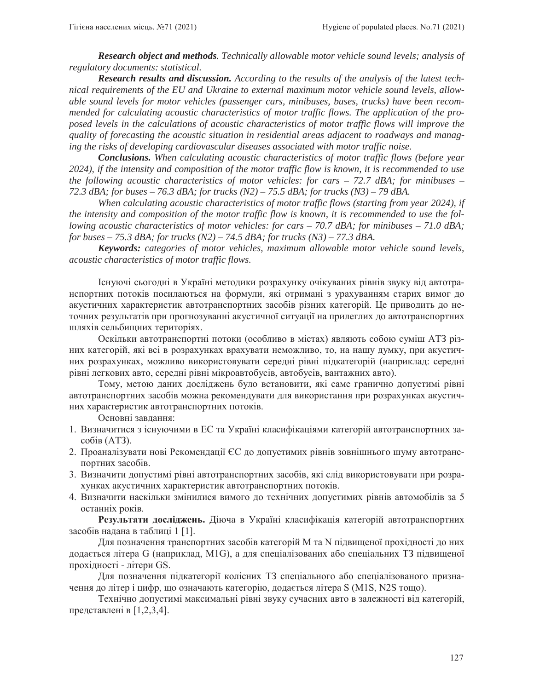*Research object and methods. Technically allowable motor vehicle sound levels; analysis of regulatory documents: statistical.* 

*Research results and discussion. According to the results of the analysis of the latest technical requirements of the EU and Ukraine to external maximum motor vehicle sound levels, allowable sound levels for motor vehicles (passenger cars, minibuses, buses, trucks) have been recommended for calculating acoustic characteristics of motor traffic flows. The application of the proposed levels in the calculations of acoustic characteristics of motor traffic flows will improve the quality of forecasting the acoustic situation in residential areas adjacent to roadways and managing the risks of developing cardiovascular diseases associated with motor traffic noise.* 

*Conclusions. When calculating acoustic characteristics of motor traffic flows (before year 2024), if the intensity and composition of the motor traffic flow is known, it is recommended to use the following acoustic characteristics of motor vehicles: for cars – 72.7 dBA; for minibuses – 72.3 dBA; for buses – 76.3 dBA; for trucks (N2) – 75.5 dBA; for trucks (N3) – 79 dBA.* 

*When calculating acoustic characteristics of motor traffic flows (starting from year 2024), if the intensity and composition of the motor traffic flow is known, it is recommended to use the following acoustic characteristics of motor vehicles: for cars – 70.7 dBA; for minibuses – 71.0 dBA; for buses – 75.3 dBA; for trucks (N2) – 74.5 dBA; for trucks (N3) – 77.3 dBA.* 

*Keywords: categories of motor vehicles, maximum allowable motor vehicle sound levels, acoustic characteristics of motor traffic flows.*

Існуючі сьогодні в Україні методики розрахунку очікуваних рівнів звуку від автотранспортних потоків посилаються на формули, які отримані з урахуванням старих вимог до акустичних характеристик автотранспортних засобів різних категорій. Це приводить до неточних результатів при прогнозуванні акустичної ситуації на прилеглих до автотранспортних шляхів сельбищних територіях.

Оскільки автотранспортні потоки (особливо в містах) являють собою суміш АТЗ різних категорій, які всі в розрахунках врахувати неможливо, то, на нашу думку, при акустичних розрахунках, можливо використовувати середні рівні підкатегорій (наприклад: середні рівні легкових авто, середні рівні мікроавтобусів, автобусів, вантажних авто).

Тому, метою даних досліджень було встановити, які саме гранично допустимі рівні автотранспортних засобів можна рекомендувати для використання при розрахунках акустичних характеристик автотранспортних потоків.

Основні завдання:

- 1. Визначитися з існуючими в ЕС та Україні класифікаціями категорій автотранспортних за $co6i$ <sub>B</sub> $(AT3)$ .
- 2. Проаналізувати нові Рекомендації ЄС до допустимих рівнів зовнішнього шуму автотранспортних засобів.
- 3. Визначити допустимі рівні автотранспортних засобів, які слід використовувати при розрахунках акустичних характеристик автотранспортних потоків.
- 4. Визначити наскільки змінилися вимого до технічних допустимих рівнів автомобілів за 5 останніх років.

Результати досліджень. Діюча в Україні класифікація категорій автотранспортних засобів надана в таблиці 1 [1].

Для позначення транспортних засобів категорій М та N підвищеної прохідності до них додається літера G (наприклад, M1G), а для спеціалізованих або спеціальних ТЗ підвищеної прохідності - літери GS.

Для позначення підкатегорії колісних ТЗ спеціального або спеціалізованого призначення до літер і цифр, що означають категорію, додається літера S (M1S, N2S тощо).

Технічно допустимі максимальні рівні звуку сучасних авто в залежності від категорій, представлені в  $[1,2,3,4]$ .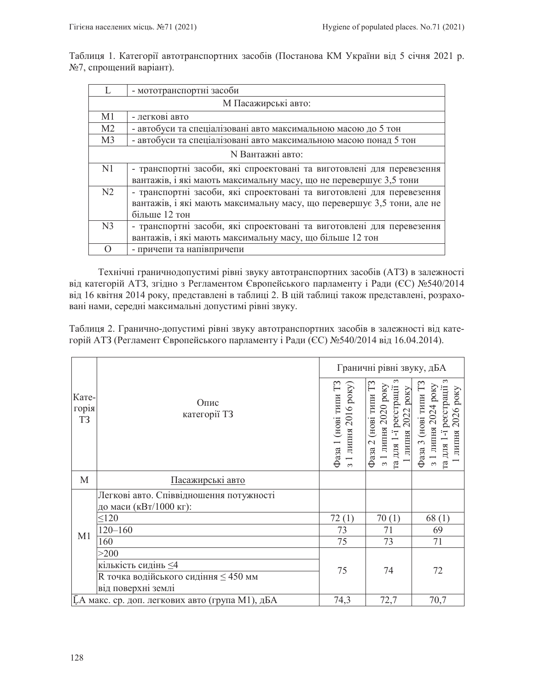|                     | - мототранспортні засоби                                                                                                                                         |  |  |  |  |
|---------------------|------------------------------------------------------------------------------------------------------------------------------------------------------------------|--|--|--|--|
| М Пасажирські авто: |                                                                                                                                                                  |  |  |  |  |
| M1                  | - легкові авто                                                                                                                                                   |  |  |  |  |
| M <sub>2</sub>      | - автобуси та спеціалізовані авто максимальною масою до 5 тон                                                                                                    |  |  |  |  |
| M <sub>3</sub>      | - автобуси та спеціалізовані авто максимальною масою понад 5 тон                                                                                                 |  |  |  |  |
| N Вантажні авто:    |                                                                                                                                                                  |  |  |  |  |
| N1                  | - транспортні засоби, які спроектовані та виготовлені для перевезення<br>вантажів, і які мають максимальну масу, що не перевершує 3,5 тони                       |  |  |  |  |
| N2                  | - транспортні засоби, які спроектовані та виготовлені для перевезення<br>вантажів, і які мають максимальну масу, що перевершує 3,5 тони, але не<br>більше 12 тон |  |  |  |  |
| N <sub>3</sub>      | - транспортні засоби, які спроектовані та виготовлені для перевезення<br>вантажів, і які мають максимальну масу, що більше 12 тон                                |  |  |  |  |
| ∩                   | - причепи та напівпричепи                                                                                                                                        |  |  |  |  |

Таблиця 1. Категорії автотранспортних засобів (Постанова КМ України від 5 січня 2021 р. №7, спрощений варіант).

Технічні граничнодопустимі рівні звуку автотранспортних засобів (АТЗ) в залежності від категорій АТЗ, згідно з Регламентом Європейського парламенту і Ради (ЄС) №540/2014 від 16 квітня 2014 року, представлені в таблиці 2. В цій таблиці також представлені, розраховані нами, середні максимальні допустимі рівні звуку.

Таблиця 2. Гранично-допустимі рівні звуку автотранспортних засобів в залежності від категорій АТЗ (Регламент Європейського парламенту і Ради (ЄС) №540/2014 від 16.04.2014).

| Кате-<br>горія<br>T <sub>3</sub>                 | Опис<br>категорії ТЗ                                              | Граничні рівні звуку, дБА                         |                                                                                                                |                                                                                                       |  |
|--------------------------------------------------|-------------------------------------------------------------------|---------------------------------------------------|----------------------------------------------------------------------------------------------------------------|-------------------------------------------------------------------------------------------------------|--|
|                                                  |                                                                   | Фаза 1 (нові типи ТЗ<br>липня 2016 року<br>$\sim$ | (нові типи ТЗ<br>1 липня 2020 року<br>для 1-ї реєстрації<br>2022 року<br>липня<br>$\Phi$ asa 2<br>ra<br>$\sim$ | Фаза 3 (нові типи ТЗ<br>липня 2024 року<br>реєстрації<br>2026 року<br>та для 1-ї<br>липня<br>$\infty$ |  |
| M                                                | Пасажирські авто                                                  |                                                   |                                                                                                                |                                                                                                       |  |
| M <sub>1</sub>                                   | Легкові авто. Співвідношення потужності<br>до маси (кВт/1000 кг): |                                                   |                                                                                                                |                                                                                                       |  |
|                                                  | $\leq 120$                                                        | 72(1)                                             | 70(1)                                                                                                          | 68(1)                                                                                                 |  |
|                                                  | $120 - 160$                                                       | 73                                                | 71                                                                                                             | 69                                                                                                    |  |
|                                                  | 160                                                               | 75                                                | 73                                                                                                             | 71                                                                                                    |  |
|                                                  | >200                                                              |                                                   | 74                                                                                                             | 72                                                                                                    |  |
|                                                  | кількість сидінь $\leq$ 4                                         | 75                                                |                                                                                                                |                                                                                                       |  |
|                                                  | R точка водійського сидіння ≤ 450 мм                              |                                                   |                                                                                                                |                                                                                                       |  |
|                                                  | від поверхні землі                                                |                                                   |                                                                                                                |                                                                                                       |  |
| Г.А макс. ср. доп. легкових авто (група M1), дБА |                                                                   | 74,3                                              | 72,7                                                                                                           | 70,7                                                                                                  |  |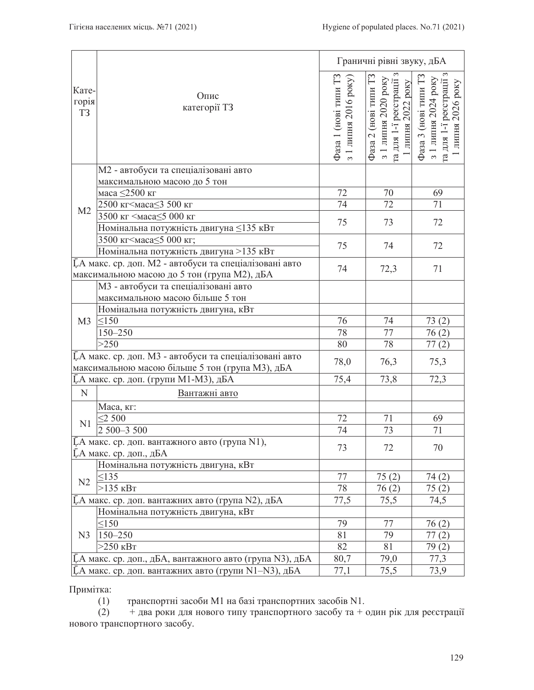|                                               |                                                                                 | Граничні рівні звуку, дБА                    |                                                                                             |                                                                                           |  |
|-----------------------------------------------|---------------------------------------------------------------------------------|----------------------------------------------|---------------------------------------------------------------------------------------------|-------------------------------------------------------------------------------------------|--|
| Кате-<br>горія<br>T <sub>3</sub>              | Опис<br>категорії ТЗ                                                            | Фаза 1 (нові типи ТЗ<br>з 1 липня 2016 року) | та для 1-ї ресстрації з<br>1 липня 2022 року<br>Фаза 2 (нові типи ТЗ<br>з 1 липня 2020 року | Фаза 3 (нові типи ТЗ<br>з 1 липня 2024 року<br>та для 1-ї ресстрації<br>1 липня 2026 року |  |
|                                               | М2 - автобуси та спеціалізовані авто                                            |                                              |                                                                                             |                                                                                           |  |
|                                               | максимальною масою до 5 тон                                                     |                                              |                                                                                             |                                                                                           |  |
|                                               | маса $\leq$ 2500 кг                                                             | 72                                           | 70                                                                                          | 69                                                                                        |  |
| M <sub>2</sub>                                | 2500 кг<маса≤3 500 кг                                                           | $\overline{74}$                              | $\overline{72}$                                                                             | 71                                                                                        |  |
|                                               | 3500 кг <маса≤5 000 кг                                                          | 75                                           | 73                                                                                          | 72                                                                                        |  |
|                                               | Номінальна потужність двигуна ≤135 кВт                                          |                                              |                                                                                             |                                                                                           |  |
|                                               | 3500 кг<маса≤5 000 кг;                                                          |                                              |                                                                                             |                                                                                           |  |
|                                               | Номінальна потужність двигуна >135 кВт                                          | 75                                           | 74                                                                                          | 72                                                                                        |  |
|                                               | Г.А макс. ср. доп. М2 - автобуси та спеціалізовані авто                         | 74                                           |                                                                                             |                                                                                           |  |
|                                               | максимальною масою до 5 тон (група М2), дБА                                     |                                              | 72,3                                                                                        | 71                                                                                        |  |
|                                               | МЗ - автобуси та спеціалізовані авто                                            |                                              |                                                                                             |                                                                                           |  |
|                                               | максимальною масою більше 5 тон                                                 |                                              |                                                                                             |                                                                                           |  |
|                                               | Номінальна потужність двигуна, кВт                                              |                                              |                                                                                             |                                                                                           |  |
| M <sub>3</sub>                                | $\leq 150$                                                                      | 76                                           | 74                                                                                          | 73(2)                                                                                     |  |
|                                               | 150-250                                                                         | 78                                           | 77                                                                                          | 76(2)                                                                                     |  |
|                                               | >250                                                                            | 80                                           | 78                                                                                          | 77(2)                                                                                     |  |
|                                               | LA макс. ср. доп. М3 - автобуси та спеціалізовані авто                          |                                              |                                                                                             |                                                                                           |  |
|                                               | максимальною масою більше 5 тон (група М3), дБА                                 | 78,0                                         | 76,3                                                                                        | 75,3                                                                                      |  |
| Г.А макс. ср. доп. (групи M1-M3), дБА         |                                                                                 | 75,4                                         | 73,8                                                                                        | 72,3                                                                                      |  |
| ${\bf N}$                                     | Вантажні авто                                                                   |                                              |                                                                                             |                                                                                           |  |
|                                               | Маса, кг:                                                                       |                                              |                                                                                             |                                                                                           |  |
|                                               | $\leq$ 2 500                                                                    | 72                                           | 71                                                                                          | 69                                                                                        |  |
| N <sub>1</sub>                                | 2 500-3 500                                                                     | 74                                           | 73                                                                                          | 71                                                                                        |  |
| [А макс. ср. доп. вантажного авто (група N1), |                                                                                 |                                              |                                                                                             |                                                                                           |  |
|                                               | Г.А макс. ср. доп., дБА                                                         | 73                                           | 72                                                                                          | 70                                                                                        |  |
|                                               | Номінальна потужність двигуна, кВт                                              |                                              |                                                                                             |                                                                                           |  |
| N2                                            | $\leq$ 135                                                                      | 77                                           | 75(2)                                                                                       | 74(2)                                                                                     |  |
|                                               | $>135$ $\text{KBr}$                                                             | 78                                           | 76(2)                                                                                       | 75(2)                                                                                     |  |
|                                               | ĻА макс. ср. доп. вантажних авто (група N2), дБА                                | 77,5                                         | 75,5                                                                                        | 74,5                                                                                      |  |
|                                               | Номінальна потужність двигуна, кВт                                              |                                              |                                                                                             |                                                                                           |  |
| N <sub>3</sub>                                | $\leq150$                                                                       | 79                                           | 77                                                                                          | 76(2)                                                                                     |  |
|                                               |                                                                                 |                                              |                                                                                             |                                                                                           |  |
|                                               |                                                                                 |                                              |                                                                                             |                                                                                           |  |
|                                               | $150 - 250$                                                                     | 81                                           | 79                                                                                          | 77(2)                                                                                     |  |
|                                               | $>250$ $\text{KBr}$<br>Г.А макс. ср. доп., дБА, вантажного авто (група N3), дБА | 82<br>80,7                                   | 81<br>79,0                                                                                  | 79(2)<br>77,3                                                                             |  |

Примітка:

(1) транспортні засоби М1 на базі транспортних засобів N1.

(2) + два роки для нового типу транспортного засобу та + один рік для реєстрації нового транспортного засобу.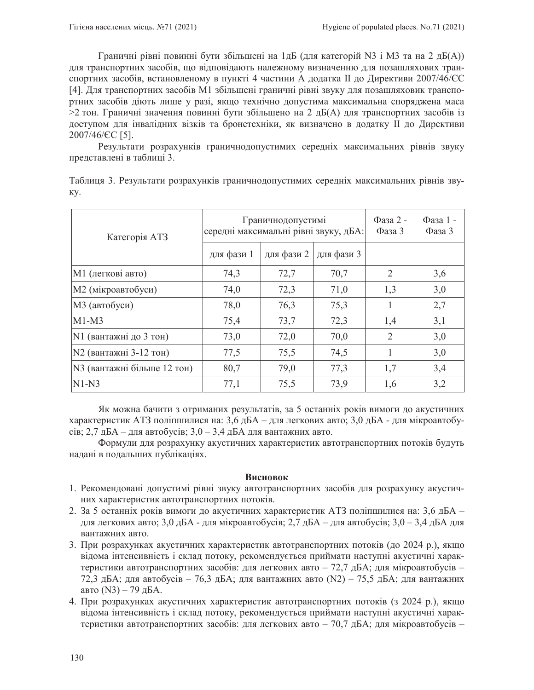Граничні рівні повинні бути збільшені на 1дБ (для категорій N3 і M3 та на 2 дБ(A)) для транспортних засобів, що відповідають належному визначенню для позашляхових транспортних засобів, встановленому в пункті 4 частини А додатка II до Директиви 2007/46/ЄС [4]. Для транспортних засобів М1 збільшені граничні рівні звуку для позашляховик транспортних засобів діють лише у разі, якщо технічно допустима максимальна споряджена маса  $>2$  тон. Граничні значення повинні бути збільшено на 2 дБ(А) для транспортних засобів із доступом для інвалідних візків та бронетехніки, як визначено в додатку II до Директиви 2007/46/EC [5].

Результати розрахунків граничнодопустимих середніх максимальних рівнів звуку представлені в таблиці 3.

Таблиця 3. Результати розрахунків граничнодопустимих середніх максимальних рівнів звуɤɭ.

| Категорія АТЗ                      | середні максимальні рівні звуку, дБА: | Граничнодопустимі | $\Phi$ аза 2 -<br>Фаза 3 | $\Phi$ аза 1 -<br>Фаза 3 |     |
|------------------------------------|---------------------------------------|-------------------|--------------------------|--------------------------|-----|
|                                    | для фази 1                            | для фази 2        | для фази 3               |                          |     |
| М1 (легкові авто)                  | 74,3                                  | 72,7              | 70,7                     | 2                        | 3,6 |
| М2 (мікроавтобуси)                 | 74,0                                  | 72,3              | 71,0                     | 1,3                      | 3,0 |
| МЗ (автобуси)                      | 78,0                                  | 76,3              | 75,3                     |                          | 2,7 |
| $M1-M3$                            | 75,4                                  | 73,7              | 72,3                     | 1,4                      | 3,1 |
| N1 (вантажні до 3 тон)             | 73,0                                  | 72,0              | 70,0                     | 2                        | 3,0 |
| N <sub>2</sub> (вантажні 3-12 тон) | 77,5                                  | 75,5              | 74,5                     |                          | 3,0 |
| N3 (вантажні більше 12 тон)        | 80,7                                  | 79,0              | 77,3                     | 1,7                      | 3,4 |
| $N1-N3$                            | 77,1                                  | 75,5              | 73,9                     | 1,6                      | 3,2 |

Як можна бачити з отриманих результатів, за 5 останніх років вимоги до акустичних характеристик АТЗ поліпшилися на: 3,6 дБА – для легкових авто; 3,0 дБА - для мікроавтобуciв;  $2,7$  дБА – для автобусiв;  $3,0-3,4$  дБА для вантажних авто.

Формули для розрахунку акустичних характеристик автотранспортних потоків будуть надані в подальших публікаціях.

#### Висновок

- 1. Рекомендовані допустимі рівні звуку автотранспортних засобів для розрахунку акустичних характеристик автотранспортних потоків.
- 2. За 5 останніх років вимоги до акустичних характеристик АТЗ поліпшилися на: 3,6 дБА для легкових авто; 3,0 дБА - для мікроавтобусів; 2,7 дБА – для автобусів; 3,0 – 3,4 дБА для вантажних авто.
- 3. При розрахунках акустичних характеристик автотранспортних потоків (до 2024 р.), якщо відома інтенсивність і склад потоку, рекомендується приймати наступні акустичні характеристики автотранспортних засобів: для легкових авто - 72,7 дБА; для мікроавтобусів -72,3 дБА; для автобусів – 76,3 дБА; для вантажних авто (N2) – 75,5 дБА; для вантажних авто (N3) – 79 дБА.
- 4. При розрахунках акустичних характеристик автотранспортних потоків (з 2024 р.), якщо відома інтенсивність і склад потоку, рекомендується приймати наступні акустичні характеристики автотранспортних засобів: для легкових авто - 70,7 дБА; для мікроавтобусів -